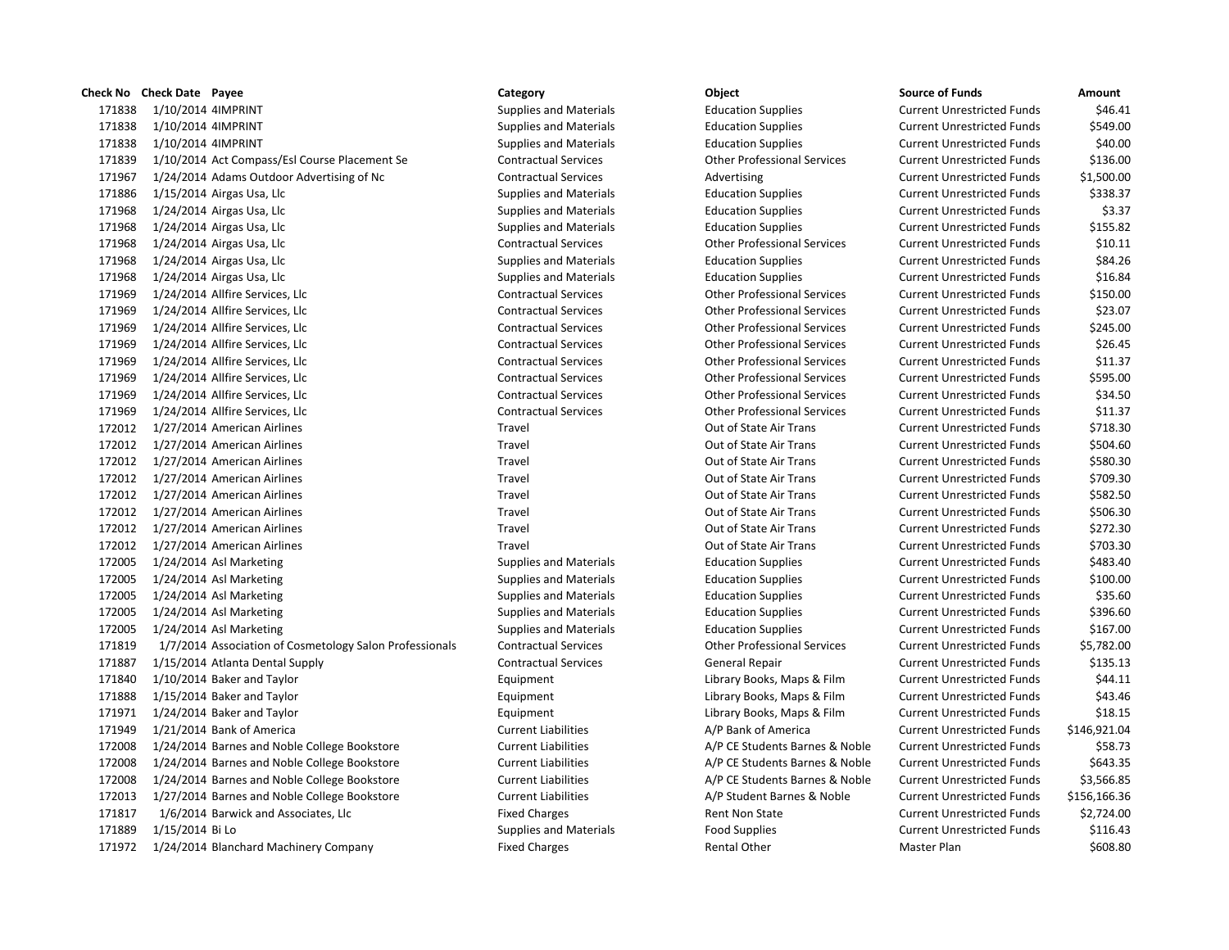|        | Check No Check Date Payee                               | Category                      | Object                             | <b>Source of Funds</b>            | Amount       |
|--------|---------------------------------------------------------|-------------------------------|------------------------------------|-----------------------------------|--------------|
| 171838 | 1/10/2014 4IMPRINT                                      | <b>Supplies and Materials</b> | <b>Education Supplies</b>          | <b>Current Unrestricted Funds</b> | \$46.41      |
| 171838 | 1/10/2014 4IMPRINT                                      | <b>Supplies and Materials</b> | <b>Education Supplies</b>          | <b>Current Unrestricted Funds</b> | \$549.00     |
| 171838 | 1/10/2014 4IMPRINT                                      | <b>Supplies and Materials</b> | <b>Education Supplies</b>          | <b>Current Unrestricted Funds</b> | \$40.00      |
| 171839 | 1/10/2014 Act Compass/Esl Course Placement Se           | <b>Contractual Services</b>   | <b>Other Professional Services</b> | <b>Current Unrestricted Funds</b> | \$136.00     |
| 171967 | 1/24/2014 Adams Outdoor Advertising of Nc               | <b>Contractual Services</b>   | Advertising                        | <b>Current Unrestricted Funds</b> | \$1,500.00   |
| 171886 | 1/15/2014 Airgas Usa, Llc                               | <b>Supplies and Materials</b> | <b>Education Supplies</b>          | <b>Current Unrestricted Funds</b> | \$338.37     |
| 171968 | 1/24/2014 Airgas Usa, Llc                               | Supplies and Materials        | <b>Education Supplies</b>          | <b>Current Unrestricted Funds</b> | \$3.37       |
| 171968 | 1/24/2014 Airgas Usa, Llc                               | <b>Supplies and Materials</b> | <b>Education Supplies</b>          | <b>Current Unrestricted Funds</b> | \$155.82     |
| 171968 | 1/24/2014 Airgas Usa, Llc                               | <b>Contractual Services</b>   | <b>Other Professional Services</b> | <b>Current Unrestricted Funds</b> | \$10.11      |
| 171968 | 1/24/2014 Airgas Usa, Llc                               | <b>Supplies and Materials</b> | <b>Education Supplies</b>          | <b>Current Unrestricted Funds</b> | \$84.26      |
| 171968 | 1/24/2014 Airgas Usa, Llc                               | <b>Supplies and Materials</b> | <b>Education Supplies</b>          | <b>Current Unrestricted Funds</b> | \$16.84      |
| 171969 | 1/24/2014 Allfire Services, Llc                         | <b>Contractual Services</b>   | <b>Other Professional Services</b> | <b>Current Unrestricted Funds</b> | \$150.00     |
| 171969 | 1/24/2014 Allfire Services, Llc                         | <b>Contractual Services</b>   | <b>Other Professional Services</b> | <b>Current Unrestricted Funds</b> | \$23.07      |
| 171969 | 1/24/2014 Allfire Services, Llc                         | <b>Contractual Services</b>   | <b>Other Professional Services</b> | <b>Current Unrestricted Funds</b> | \$245.00     |
| 171969 | 1/24/2014 Allfire Services, Llc                         | <b>Contractual Services</b>   | <b>Other Professional Services</b> | <b>Current Unrestricted Funds</b> | \$26.45      |
| 171969 | 1/24/2014 Allfire Services, Llc                         | <b>Contractual Services</b>   | <b>Other Professional Services</b> | <b>Current Unrestricted Funds</b> | \$11.37      |
| 171969 | 1/24/2014 Allfire Services, Llc                         | <b>Contractual Services</b>   | <b>Other Professional Services</b> | <b>Current Unrestricted Funds</b> | \$595.00     |
| 171969 | 1/24/2014 Allfire Services, Llc                         | <b>Contractual Services</b>   | <b>Other Professional Services</b> | <b>Current Unrestricted Funds</b> | \$34.50      |
| 171969 | 1/24/2014 Allfire Services, Llc                         | <b>Contractual Services</b>   | <b>Other Professional Services</b> | <b>Current Unrestricted Funds</b> | \$11.37      |
| 172012 | 1/27/2014 American Airlines                             | Travel                        | Out of State Air Trans             | <b>Current Unrestricted Funds</b> | \$718.30     |
| 172012 | 1/27/2014 American Airlines                             | Travel                        | Out of State Air Trans             | <b>Current Unrestricted Funds</b> | \$504.60     |
| 172012 | 1/27/2014 American Airlines                             | Travel                        | Out of State Air Trans             | <b>Current Unrestricted Funds</b> | \$580.30     |
| 172012 | 1/27/2014 American Airlines                             | Travel                        | Out of State Air Trans             | <b>Current Unrestricted Funds</b> | \$709.30     |
| 172012 | 1/27/2014 American Airlines                             | Travel                        | Out of State Air Trans             | <b>Current Unrestricted Funds</b> | \$582.50     |
| 172012 | 1/27/2014 American Airlines                             | Travel                        | Out of State Air Trans             | <b>Current Unrestricted Funds</b> | \$506.30     |
| 172012 | 1/27/2014 American Airlines                             | Travel                        | Out of State Air Trans             | <b>Current Unrestricted Funds</b> | \$272.30     |
| 172012 | 1/27/2014 American Airlines                             | Travel                        | Out of State Air Trans             | <b>Current Unrestricted Funds</b> | \$703.30     |
| 172005 | 1/24/2014 Asl Marketing                                 | <b>Supplies and Materials</b> | <b>Education Supplies</b>          | <b>Current Unrestricted Funds</b> | \$483.40     |
| 172005 | 1/24/2014 Asl Marketing                                 | <b>Supplies and Materials</b> | <b>Education Supplies</b>          | <b>Current Unrestricted Funds</b> | \$100.00     |
| 172005 | 1/24/2014 Asl Marketing                                 | <b>Supplies and Materials</b> | <b>Education Supplies</b>          | <b>Current Unrestricted Funds</b> | \$35.60      |
| 172005 | 1/24/2014 Asl Marketing                                 | Supplies and Materials        | <b>Education Supplies</b>          | <b>Current Unrestricted Funds</b> | \$396.60     |
| 172005 | 1/24/2014 Asl Marketing                                 | <b>Supplies and Materials</b> | <b>Education Supplies</b>          | <b>Current Unrestricted Funds</b> | \$167.00     |
| 171819 | 1/7/2014 Association of Cosmetology Salon Professionals | <b>Contractual Services</b>   | <b>Other Professional Services</b> | <b>Current Unrestricted Funds</b> | \$5,782.00   |
| 171887 | 1/15/2014 Atlanta Dental Supply                         | <b>Contractual Services</b>   | General Repair                     | <b>Current Unrestricted Funds</b> | \$135.13     |
| 171840 | 1/10/2014 Baker and Taylor                              | Equipment                     | Library Books, Maps & Film         | <b>Current Unrestricted Funds</b> | \$44.11      |
| 171888 | 1/15/2014 Baker and Taylor                              | Equipment                     | Library Books, Maps & Film         | <b>Current Unrestricted Funds</b> | \$43.46      |
| 171971 | 1/24/2014 Baker and Taylor                              | Equipment                     | Library Books, Maps & Film         | <b>Current Unrestricted Funds</b> | \$18.15      |
| 171949 | 1/21/2014 Bank of America                               | <b>Current Liabilities</b>    | A/P Bank of America                | <b>Current Unrestricted Funds</b> | \$146,921.04 |
| 172008 | 1/24/2014 Barnes and Noble College Bookstore            | <b>Current Liabilities</b>    | A/P CE Students Barnes & Noble     | <b>Current Unrestricted Funds</b> | \$58.73      |
| 172008 | 1/24/2014 Barnes and Noble College Bookstore            | <b>Current Liabilities</b>    | A/P CE Students Barnes & Noble     | <b>Current Unrestricted Funds</b> | \$643.35     |
| 172008 | 1/24/2014 Barnes and Noble College Bookstore            | <b>Current Liabilities</b>    | A/P CE Students Barnes & Noble     | <b>Current Unrestricted Funds</b> | \$3,566.85   |
| 172013 | 1/27/2014 Barnes and Noble College Bookstore            | <b>Current Liabilities</b>    | A/P Student Barnes & Noble         | <b>Current Unrestricted Funds</b> | \$156,166.36 |
| 171817 | 1/6/2014 Barwick and Associates, Llc                    | <b>Fixed Charges</b>          | Rent Non State                     | <b>Current Unrestricted Funds</b> | \$2,724.00   |
| 171889 | 1/15/2014 Bi Lo                                         | <b>Supplies and Materials</b> | <b>Food Supplies</b>               | <b>Current Unrestricted Funds</b> | \$116.43     |
| 171972 | 1/24/2014 Blanchard Machinery Company                   | <b>Fixed Charges</b>          | <b>Rental Other</b>                | Master Plan                       | \$608.80     |
|        |                                                         |                               |                                    |                                   |              |

## 1/10/2014 4IMPRINT Supplies and Materials Education Supplies Current Unrestricted Funds \$46.41 1/10/2014 4IMPRINT Supplies and Materials Education Supplies Current Unrestricted Funds \$549.00 1/10/2014 4IMPRINT Supplies and Materials Education Supplies Current Unrestricted Funds \$40.00 1/10/2014 Act Compass/Esl Course Placement Se Contractual Services Other Professional Services Current Unrestricted Funds \$136.00 1,500.00 171567 Contractual Services **Advertising Current Unrestricted Funds** \$1,500.00 1/15/2014 Airgas Usa, Llc Supplies and Materials Education Supplies Current Unrestricted Funds \$338.37 1/24/2014 Airgas Usa, Llc Supplies and Materials Education Supplies Current Unrestricted Funds \$3.37 1/24/2014 Airgas Usa, Llc Supplies and Materials Education Supplies Current Unrestricted Funds \$155.82 1/24/2014 Airgas Usa, Llc Contractual Services Other Professional Services Current Unrestricted Funds \$10.11 1/24/2014 Airgas Usa, Llc Supplies and Materials Education Supplies Current Unrestricted Funds \$84.26 1/24/2014 Airgas Usa, Llc Supplies and Materials Education Supplies Current Unrestricted Funds \$16.84 1/24/2014 Allfire Services, Llc Contractual Services Other Professional Services Current Unrestricted Funds \$150.00 1/24/2014 Allfire Services, Llc Contractual Services Other Professional Services Current Unrestricted Funds \$23.07 1/24/2014 Allfire Services, Llc Contractual Services Other Professional Services Current Unrestricted Funds \$245.00 1/24/2014 Allfire Services, Llc Contractual Services Other Professional Services Current Unrestricted Funds \$26.45 1/24/2014 Allfire Services, Llc Contractual Services Other Professional Services Current Unrestricted Funds \$11.37 1/24/2014 Allfire Services, Llc Contractual Services Other Professional Services Current Unrestricted Funds \$595.00 1/24/2014 Allfire Services, Llc Contractual Services Other Professional Services Current Unrestricted Funds \$34.50 1/24/2014 Allfire Services, Llc Contractual Services Other Professional Services Current Unrestricted Funds \$11.37 172012 172012 172012 172012 172012 American Airlines Current Unrestricted Funds 5718.30 1/27/2014 American Airlines Travel Out of State Air Trans Current Unrestricted Funds \$504.60 1/27/2014 American Airlines Travel Out of State Air Trans Current Unrestricted Funds \$580.30 17201 172012 172012 172012 172012 American Australian Australian Airlines Current Unrestricted Funds \$709.30 1/27/2014 American Airlines Travel Out of State Air Trans Current Unrestricted Funds \$582.50 172012 172012 172012 172012 172012 172012 American Airlines Travel Out of State Air Trans Current Unrestricted Funds 172012 172012 172012 172012 172012 American Australian Australian Airlines Current Unrestricted Funds \$272.30 1/27/2014 American Airlines Travel Out of State Air Trans Current Unrestricted Funds \$703.30 1/24/2014 Asl Marketing Supplies and Materials Education Supplies Current Unrestricted Funds \$483.40 1/24/2014 Asl Marketing Supplies and Materials Education Supplies Current Unrestricted Funds \$100.00 1/24/2014 Asl Marketing Supplies and Materials Education Supplies Current Unrestricted Funds \$35.60 1/24/2014 Asl Marketing Supplies and Materials Education Supplies Current Unrestricted Funds \$396.60 1/24/2014 Asl Marketing Supplies and Materials Education Supplies Current Unrestricted Funds \$167.00 nals Contractual Services **17181 Contractual Services** Current Unrestricted Funds 55,782.00 1/15/2014 Atlanta Dental Supply Contractual Services General Repair Current Unrestricted Funds \$135.13 1/10/2014 Baker and Taylor Equipment Library Books, Maps & Film Current Unrestricted Funds \$44.11 1/15/2014 Baker and Taylor Equipment Library Books, Maps & Film Current Unrestricted Funds \$43.46 1/24/2014 Baker and Taylor Equipment Library Books, Maps & Film Current Unrestricted Funds \$18.15 1/21/2014 Bank of America Current Liabilities A/P Bank of America Current Unrestricted Funds \$146,921.04 1/24/2014 Barnes and Noble College Bookstore Current Liabilities A/P CE Students Barnes & Noble Current Unrestricted Funds \$58.73 Current Liabilities **172008 172008 1/24/2014 Barnes And A/P CE Students Barnes & Noble Current Unrestricted Funds**  1/24/2014 Barnes and Noble College Bookstore Current Liabilities A/P CE Students Barnes & Noble Current Unrestricted Funds \$3,566.85 1/27/2014 Barnes and Noble College Bookstore Current Liabilities A/P Student Barnes & Noble Current Unrestricted Funds \$156,166.36 Fixed Charges The Rent Non State Current Unrestricted Funds \$2,724.00 Supplies and Materials **171889 1718** Food Supplies **Current Unrestricted Funds** 5116.43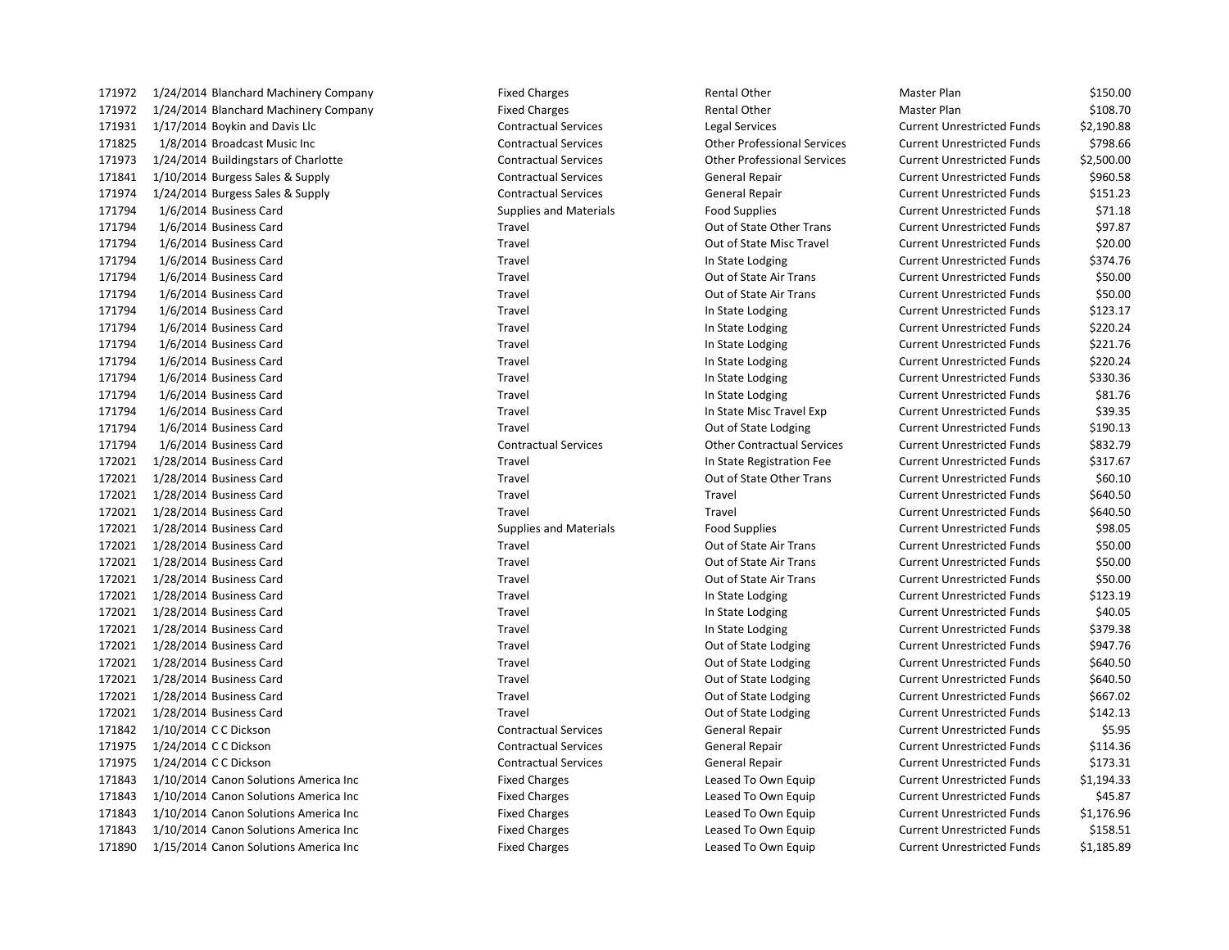| 171972 | 1/24/2014 Blanchard Machinery Company | <b>Fixed Charges</b>          | Rental Other                       | Master Plan                       | \$150.00   |
|--------|---------------------------------------|-------------------------------|------------------------------------|-----------------------------------|------------|
| 171972 | 1/24/2014 Blanchard Machinery Company | <b>Fixed Charges</b>          | <b>Rental Other</b>                | Master Plan                       | \$108.70   |
| 171931 | 1/17/2014 Boykin and Davis Llc        | <b>Contractual Services</b>   | Legal Services                     | <b>Current Unrestricted Funds</b> | \$2,190.88 |
| 171825 | 1/8/2014 Broadcast Music Inc          | <b>Contractual Services</b>   | <b>Other Professional Services</b> | <b>Current Unrestricted Funds</b> | \$798.66   |
| 171973 | 1/24/2014 Buildingstars of Charlotte  | <b>Contractual Services</b>   | <b>Other Professional Services</b> | <b>Current Unrestricted Funds</b> | \$2,500.00 |
| 171841 | 1/10/2014 Burgess Sales & Supply      | <b>Contractual Services</b>   | <b>General Repair</b>              | <b>Current Unrestricted Funds</b> | \$960.58   |
| 171974 | 1/24/2014 Burgess Sales & Supply      | <b>Contractual Services</b>   | <b>General Repair</b>              | <b>Current Unrestricted Funds</b> | \$151.23   |
| 171794 | 1/6/2014 Business Card                | <b>Supplies and Materials</b> | <b>Food Supplies</b>               | <b>Current Unrestricted Funds</b> | \$71.18    |
| 171794 | 1/6/2014 Business Card                | Travel                        | Out of State Other Trans           | <b>Current Unrestricted Funds</b> | \$97.87    |
| 171794 | 1/6/2014 Business Card                | Travel                        | Out of State Misc Travel           | <b>Current Unrestricted Funds</b> | \$20.00    |
| 171794 | 1/6/2014 Business Card                | Travel                        | In State Lodging                   | <b>Current Unrestricted Funds</b> | \$374.76   |
| 171794 | 1/6/2014 Business Card                | Travel                        | Out of State Air Trans             | <b>Current Unrestricted Funds</b> | \$50.00    |
| 171794 | 1/6/2014 Business Card                | Travel                        | Out of State Air Trans             | <b>Current Unrestricted Funds</b> | \$50.00    |
| 171794 | 1/6/2014 Business Card                | Travel                        | In State Lodging                   | <b>Current Unrestricted Funds</b> | \$123.17   |
| 171794 | 1/6/2014 Business Card                | Travel                        | In State Lodging                   | <b>Current Unrestricted Funds</b> | \$220.24   |
| 171794 | 1/6/2014 Business Card                | Travel                        | In State Lodging                   | <b>Current Unrestricted Funds</b> | \$221.76   |
| 171794 | 1/6/2014 Business Card                | Travel                        | In State Lodging                   | <b>Current Unrestricted Funds</b> | \$220.24   |
| 171794 | 1/6/2014 Business Card                | Travel                        | In State Lodging                   | <b>Current Unrestricted Funds</b> | \$330.36   |
| 171794 | 1/6/2014 Business Card                | Travel                        | In State Lodging                   | <b>Current Unrestricted Funds</b> | \$81.76    |
| 171794 | 1/6/2014 Business Card                | Travel                        | In State Misc Travel Exp           | <b>Current Unrestricted Funds</b> | \$39.35    |
| 171794 | 1/6/2014 Business Card                | Travel                        | Out of State Lodging               | <b>Current Unrestricted Funds</b> | \$190.13   |
| 171794 | 1/6/2014 Business Card                | <b>Contractual Services</b>   | <b>Other Contractual Services</b>  | <b>Current Unrestricted Funds</b> | \$832.79   |
| 172021 | 1/28/2014 Business Card               | Travel                        | In State Registration Fee          | <b>Current Unrestricted Funds</b> | \$317.67   |
| 172021 | 1/28/2014 Business Card               | Travel                        | Out of State Other Trans           | <b>Current Unrestricted Funds</b> | \$60.10    |
| 172021 | 1/28/2014 Business Card               | Travel                        | Travel                             | <b>Current Unrestricted Funds</b> | \$640.50   |
| 172021 | 1/28/2014 Business Card               | Travel                        | Travel                             | <b>Current Unrestricted Funds</b> | \$640.50   |
| 172021 | 1/28/2014 Business Card               | <b>Supplies and Materials</b> | <b>Food Supplies</b>               | <b>Current Unrestricted Funds</b> | \$98.05    |
| 172021 | 1/28/2014 Business Card               | Travel                        | Out of State Air Trans             | <b>Current Unrestricted Funds</b> | \$50.00    |
| 172021 | 1/28/2014 Business Card               | Travel                        | Out of State Air Trans             | <b>Current Unrestricted Funds</b> | \$50.00    |
| 172021 | 1/28/2014 Business Card               | Travel                        | Out of State Air Trans             | <b>Current Unrestricted Funds</b> | \$50.00    |
| 172021 | 1/28/2014 Business Card               | Travel                        | In State Lodging                   | <b>Current Unrestricted Funds</b> | \$123.19   |
| 172021 | 1/28/2014 Business Card               | Travel                        | In State Lodging                   | <b>Current Unrestricted Funds</b> | \$40.05    |
| 172021 | 1/28/2014 Business Card               | Travel                        | In State Lodging                   | <b>Current Unrestricted Funds</b> | \$379.38   |
| 172021 | 1/28/2014 Business Card               | Travel                        | Out of State Lodging               | <b>Current Unrestricted Funds</b> | \$947.76   |
| 172021 | 1/28/2014 Business Card               | Travel                        | Out of State Lodging               | <b>Current Unrestricted Funds</b> | \$640.50   |
| 172021 | 1/28/2014 Business Card               | Travel                        | Out of State Lodging               | <b>Current Unrestricted Funds</b> | \$640.50   |
| 172021 | 1/28/2014 Business Card               | Travel                        | Out of State Lodging               | <b>Current Unrestricted Funds</b> | \$667.02   |
| 172021 | 1/28/2014 Business Card               | Travel                        | Out of State Lodging               | <b>Current Unrestricted Funds</b> | \$142.13   |
| 171842 | 1/10/2014 C C Dickson                 | <b>Contractual Services</b>   | General Repair                     | <b>Current Unrestricted Funds</b> | \$5.95     |
| 171975 | 1/24/2014 C C Dickson                 | <b>Contractual Services</b>   | General Repair                     | <b>Current Unrestricted Funds</b> | \$114.36   |
| 171975 | 1/24/2014 C C Dickson                 | <b>Contractual Services</b>   | General Repair                     | <b>Current Unrestricted Funds</b> | \$173.31   |
| 171843 | 1/10/2014 Canon Solutions America Inc | <b>Fixed Charges</b>          | Leased To Own Equip                | <b>Current Unrestricted Funds</b> | \$1,194.33 |
| 171843 | 1/10/2014 Canon Solutions America Inc | <b>Fixed Charges</b>          | Leased To Own Equip                | <b>Current Unrestricted Funds</b> | \$45.87    |
| 171843 | 1/10/2014 Canon Solutions America Inc | <b>Fixed Charges</b>          | Leased To Own Equip                | <b>Current Unrestricted Funds</b> | \$1,176.96 |
| 171843 | 1/10/2014 Canon Solutions America Inc | <b>Fixed Charges</b>          | Leased To Own Equip                | <b>Current Unrestricted Funds</b> | \$158.51   |
| 171890 | 1/15/2014 Canon Solutions America Inc | <b>Fived Charges</b>          | Leased To Own Faujn                | Current Unrestricted Funds        | \$1 185 89 |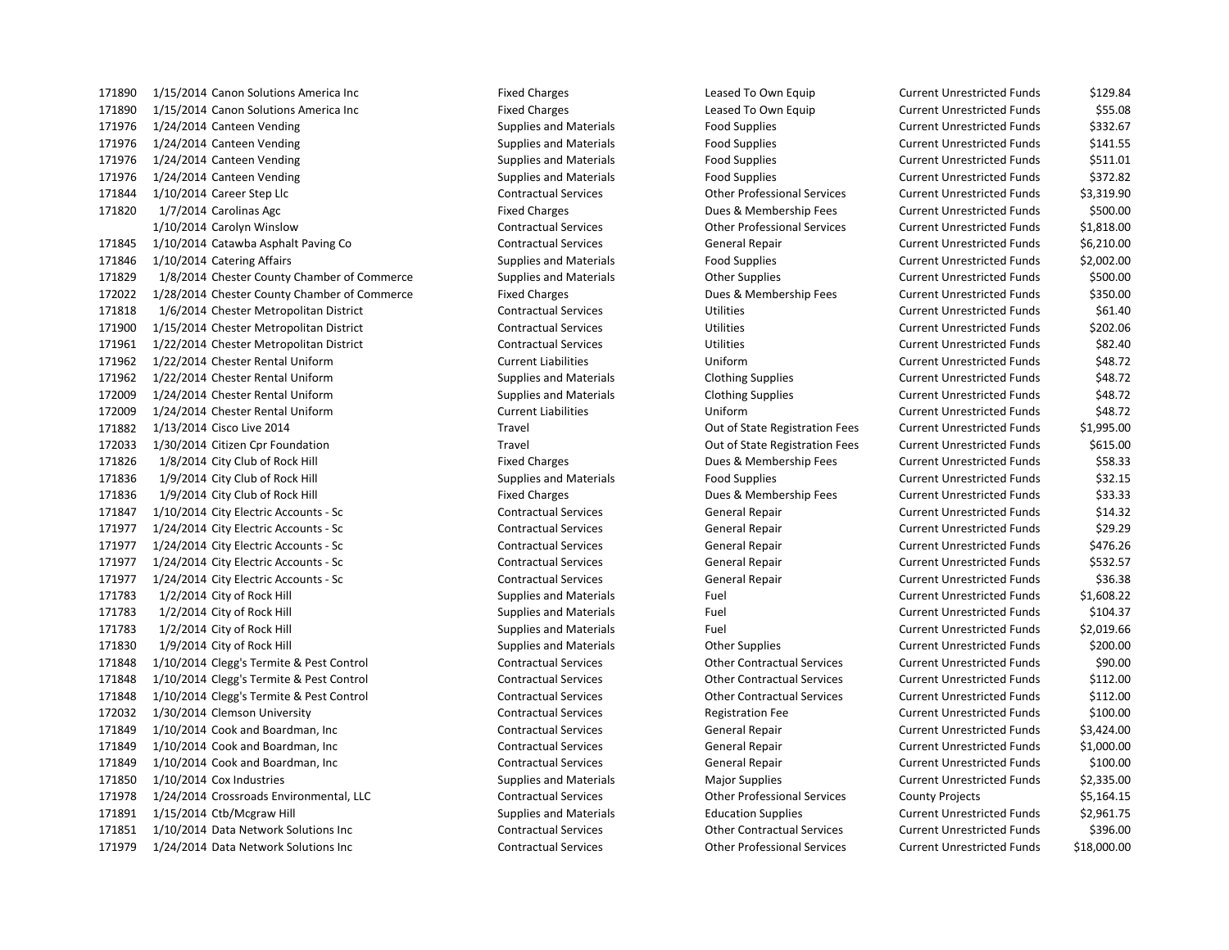1/15/2014 Canon Solutions America Inc Fixed Charges Leased To Own Equip Current Unrestricted Funds \$129.84 1/15/2014 Canon Solutions America Inc Fixed Charges Leased To Own Equip Current Unrestricted Funds \$55.08 1/24/2014 Canteen Vending Supplies and Materials Food Supplies Current Unrestricted Funds \$332.67 1/24/2014 Canteen Vending Supplies and Materials Food Supplies Current Unrestricted Funds \$141.55 1/24/2014 Canteen Vending Supplies and Materials Food Supplies Current Unrestricted Funds \$511.01 1/24/2014 Canteen Vending Supplies and Materials Food Supplies Current Unrestricted Funds \$372.82 1/10/2014 Career Step Llc Contractual Services Other Professional Services Current Unrestricted Funds \$3,319.90 1/7/2014 Carolinas Agc Fixed Charges Dues & Membership Fees Current Unrestricted Funds \$500.00 1/10/2014 Carolyn Winslow Contractual Services Other Professional Services Current Unrestricted Funds \$1,818.00 1/10/2014 Catawba Asphalt Paving Co Contractual Services General Repair Current Unrestricted Funds \$6,210.00 1/10/2014 Catering Affairs Supplies and Materials Food Supplies Current Unrestricted Funds \$2,002.00 1/8/2014 Chester County Chamber of Commerce Supplies and Materials Other Supplies Current Unrestricted Funds \$500.00 1/28/2014 Chester County Chamber of Commerce Fixed Charges Dues & Membership Fees Current Unrestricted Funds \$350.00 1/6/2014 Chester Metropolitan District Contractual Services Utilities Current Unrestricted Funds \$61.40 1/15/2014 Chester Metropolitan District Contractual Services Utilities Current Unrestricted Funds \$202.06 1/22/2014 Chester Metropolitan District Contractual Services Utilities Current Unrestricted Funds \$82.40 1/22/2014 Chester Rental Uniform Current Liabilities Uniform Current Unrestricted Funds \$48.72 1/22/2014 Chester Rental Uniform Supplies and Materials Clothing Supplies Current Unrestricted Funds \$48.72 1/24/2014 Chester Rental Uniform Supplies and Materials Clothing Supplies Current Unrestricted Funds \$48.72 1/24/2014 Chester Rental Uniform Current Liabilities Uniform Current Unrestricted Funds \$48.72 1/13/2014 Cisco Live 2014 Travel Out of State Registration Fees Current Unrestricted Funds \$1,995.00 1/30/2014 Citizen Cpr Foundation Travel Out of State Registration Fees Current Unrestricted Funds \$615.00 171826 1/8/2014 City Club of Rock Hill **Fixed Charges** Fixed Charges Dues & Membership Fees Current Unrestricted Funds \$58.33 1/9/2014 City Club of Rock Hill Supplies and Materials Food Supplies Current Unrestricted Funds \$32.15 171836 1/9/2014 City Club of Rock Hill **Fixed Charges** Fixed Charges Dues & Membership Fees Current Unrestricted Funds \$33.33 1/10/2014 City Electric Accounts - Sc Contractual Services General Repair Current Unrestricted Funds \$14.32 1/24/2014 City Electric Accounts - Sc Contractual Services General Repair Current Unrestricted Funds \$29.29 1/24/2014 City Electric Accounts - Sc Contractual Services General Repair Current Unrestricted Funds \$476.26 1/24/2014 City Electric Accounts - Sc Contractual Services General Repair Current Unrestricted Funds \$532.57 1/24/2014 City Electric Accounts - Sc Contractual Services General Repair Current Unrestricted Funds \$36.38 1/2/2014 City of Rock Hill Supplies and Materials Fuel Current Unrestricted Funds \$1,608.22 1/2/2014 City of Rock Hill Supplies and Materials Fuel Current Unrestricted Funds \$104.37 1/2/2014 City of Rock Hill Supplies and Materials Fuel Current Unrestricted Funds \$2,019.66 1/9/2014 City of Rock Hill Supplies and Materials Other Supplies Current Unrestricted Funds \$200.00 1/10/2014 Clegg's Termite & Pest Control Contractual Services Other Contractual Services Current Unrestricted Funds \$90.00 1/10/2014 Clegg's Termite & Pest Control Contractual Services Other Contractual Services Current Unrestricted Funds \$112.00 1/10/2014 Clegg's Termite & Pest Control Contractual Services Other Contractual Services Current Unrestricted Funds \$112.00 1/30/2014 Clemson University Contractual Services Registration Fee Current Unrestricted Funds \$100.00 1/10/2014 Cook and Boardman, Inc Contractual Services General Repair Current Unrestricted Funds \$3,424.00 1/10/2014 Cook and Boardman, Inc Contractual Services General Repair Current Unrestricted Funds \$1,000.00 1/10/2014 Cook and Boardman, Inc Contractual Services General Repair Current Unrestricted Funds \$100.00 1/10/2014 Cox Industries Supplies and Materials Major Supplies Current Unrestricted Funds \$2,335.00 1/24/2014 Crossroads Environmental, LLC Contractual Services Other Professional Services County Projects \$5,164.15 1/15/2014 Ctb/Mcgraw Hill Supplies and Materials Education Supplies Current Unrestricted Funds \$2,961.75 1/10/2014 Data Network Solutions Inc Contractual Services Other Contractual Services Current Unrestricted Funds \$396.00

1/24/2014 Data Network Solutions Inc Contractual Services Other Professional Services Current Unrestricted Funds \$18,000.00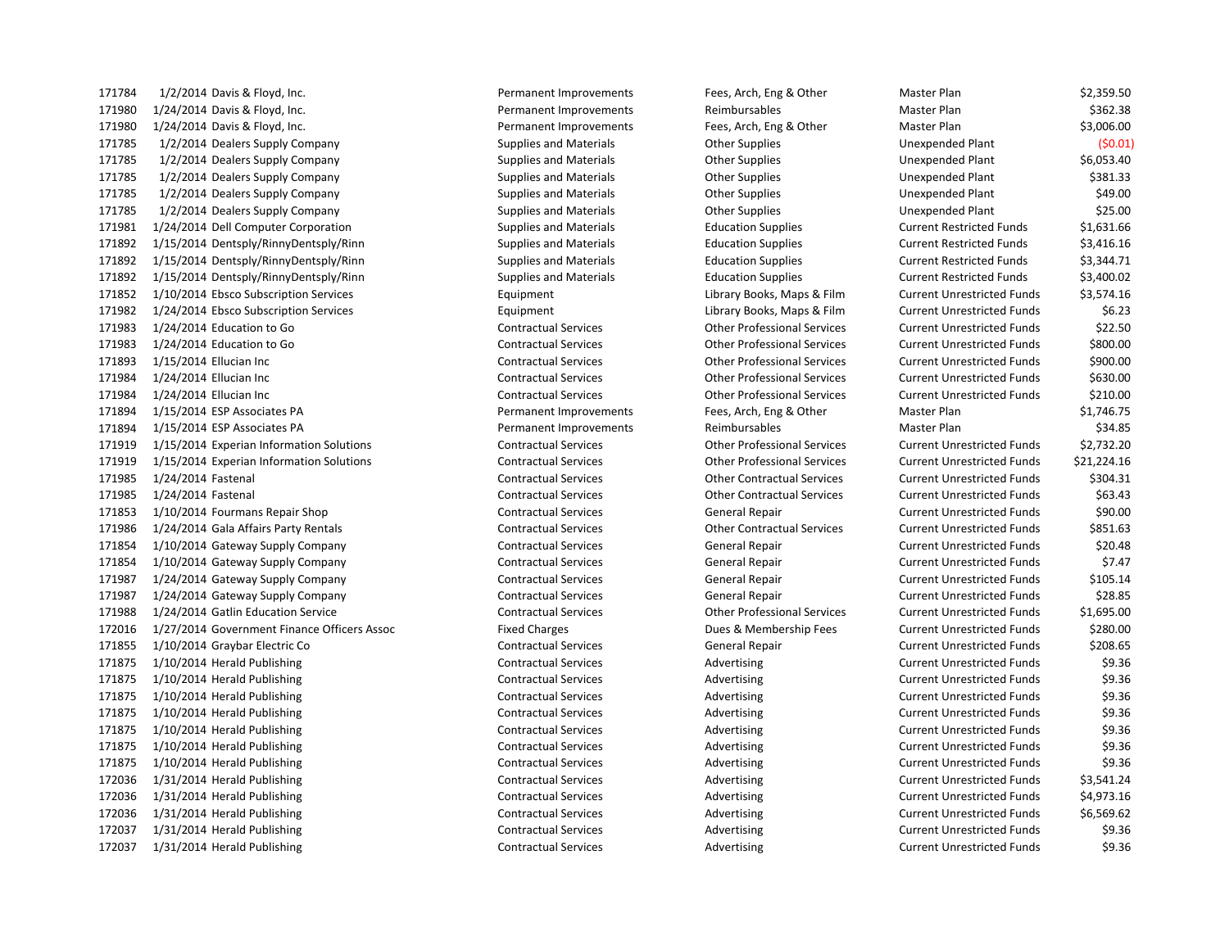171784 1/2/2014 Davis & Floyd, Inc. The Subsection of the Permanent Improvements Fees, Arch, Eng & Other Master Plan \$2,359.50 171980 1/24/2014 Davis & Floyd, Inc. The Companent Companent Improvements Reimbursables Master Plan \$362.38 Stater Plan 1/24/2014 Davis & Floyd, Inc. Permanent Improvements Fees, Arch, Eng & Other Master Plan \$3,006.00 1/2/2014 Dealers Supply Company Supplies and Materials Other Supplies Unexpended Plant (\$0.01) 1/2/2014 Dealers Supply Company Supplies and Materials Other Supplies Unexpended Plant \$6,053.40 171785 1/2/2014 Dealers Supply Company Supplies and Materials Company Supplies Company States of the Supplies Company 1/2/2014 Dealers Supply Company Supplies and Materials Other Supplies Unexpended Plant \$49.00 1/2/2014 Dealers Supply Company Supplies and Materials Other Supplies Unexpended Plant \$25.00 1/24/2014 Dell Computer Corporation Supplies and Materials Education Supplies Current Restricted Funds \$1,631.66 1/15/2014 Dentsply/RinnyDentsply/Rinn Supplies and Materials Education Supplies Current Restricted Funds \$3,416.16 1/15/2014 Dentsply/RinnyDentsply/Rinn Supplies and Materials Education Supplies Current Restricted Funds \$3,344.71 1/15/2014 Dentsply/RinnyDentsply/Rinn Supplies and Materials Education Supplies Current Restricted Funds \$3,400.02 1/10/2014 Ebsco Subscription Services Equipment Library Books, Maps & Film Current Unrestricted Funds \$3,574.16 1/24/2014 Ebsco Subscription Services Equipment Library Books, Maps & Film Current Unrestricted Funds \$6.23 1/24/2014 Education to Go Contractual Services Other Professional Services Current Unrestricted Funds \$22.50 1/24/2014 Education to Go Contractual Services Other Professional Services Current Unrestricted Funds \$800.00 1/15/2014 Ellucian Inc Contractual Services Other Professional Services Current Unrestricted Funds \$900.00 1/24/2014 Ellucian Inc Contractual Services Other Professional Services Current Unrestricted Funds \$630.00 1/24/2014 Ellucian Inc Contractual Services Other Professional Services Current Unrestricted Funds \$210.00 1/15/2014 ESP Associates PA Permanent Improvements Fees, Arch, Eng & Other Master Plan \$1,746.75 171894 1/15/2014 ESP Associates PA **Permanent Improvements** Reimbursables Master Plan Master Plan \$34.85 1/15/2014 Experian Information Solutions Contractual Services Other Professional Services Current Unrestricted Funds \$2,732.20 1/15/2014 Experian Information Solutions Contractual Services Other Professional Services Current Unrestricted Funds \$21,224.16 1/24/2014 Fastenal Contractual Services Other Contractual Services Current Unrestricted Funds \$304.31 1/24/2014 Fastenal Contractual Services Other Contractual Services Current Unrestricted Funds \$63.43 1/10/2014 Fourmans Repair Shop Contractual Services General Repair Current Unrestricted Funds \$90.00 1/24/2014 Gala Affairs Party Rentals Contractual Services Other Contractual Services Current Unrestricted Funds \$851.63 1/10/2014 Gateway Supply Company Contractual Services General Repair Current Unrestricted Funds \$20.48 1/10/2014 Gateway Supply Company Contractual Services General Repair Current Unrestricted Funds \$7.47 1/24/2014 Gateway Supply Company Contractual Services General Repair Current Unrestricted Funds \$105.14 1/24/2014 Gateway Supply Company Contractual Services General Repair Current Unrestricted Funds \$28.85 1/24/2014 Gatlin Education Service Contractual Services Other Professional Services Current Unrestricted Funds \$1,695.00 1/27/2014 Government Finance Officers Assoc Fixed Charges Dues & Membership Fees Current Unrestricted Funds \$280.00 1/10/2014 Graybar Electric Co Contractual Services General Repair Current Unrestricted Funds \$208.65 171875 1/10/2014 Herald Publishing external contractual Services and Advertising Current Unrestricted Funds \$9.36 171875 1/10/2014 Herald Publishing external contractual Services and Advertising Current Unrestricted Funds \$9.36 1/10/2014 Herald Publishing Contractual Services Advertising Current Unrestricted Funds \$9.36 1/10/2014 Herald Publishing Contractual Services Advertising Current Unrestricted Funds \$9.36 1/10/2014 Herald Publishing Contractual Services Advertising Current Unrestricted Funds \$9.36 171875 1/10/2014 Herald Publishing external contractual Services and Advertising Current Unrestricted Funds \$9.36 171875 1/10/2014 Herald Publishing The Supervices Contractual Services Advertising Current Unrestricted Funds \$9.36 1/31/2014 Herald Publishing Contractual Services Advertising Current Unrestricted Funds \$3,541.24 1/31/2014 Herald Publishing Contractual Services Advertising Current Unrestricted Funds \$4,973.16 1/31/2014 Herald Publishing Contractual Services Advertising Current Unrestricted Funds \$6,569.62 172037 1/31/2014 Herald Publishing external contractual Services and Advertising Current Unrestricted Funds \$9.36 1/31/2014 Herald Publishing Contractual Services Advertising Current Unrestricted Funds \$9.36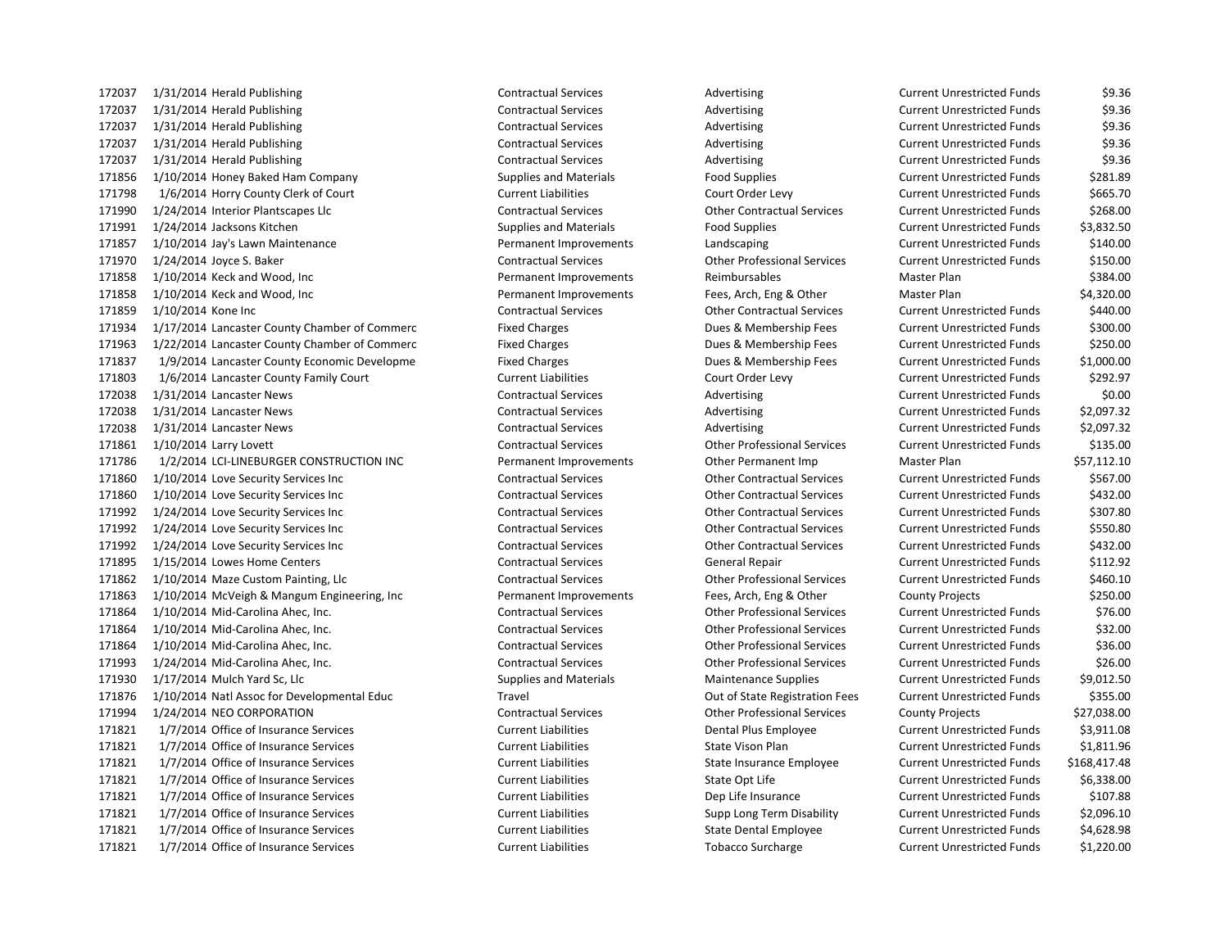1/31/2014 Herald Publishing Contractual Services Advertising Current Unrestricted Funds \$9.36 1/31/2014 Herald Publishing Contractual Services Advertising Current Unrestricted Funds \$9.36 172037 1/31/2014 Herald Publishing The Contractual Services Contractual Services Advertising Current Unrestricted Funds \$9.36 1/31/2014 Herald Publishing Contractual Services Advertising Current Unrestricted Funds \$9.36 1/31/2014 Herald Publishing Contractual Services Advertising Current Unrestricted Funds \$9.36 1/10/2014 Honey Baked Ham Company Supplies and Materials Food Supplies Current Unrestricted Funds \$281.89 1/6/2014 Horry County Clerk of Court Current Liabilities Court Order Levy Current Unrestricted Funds \$665.70 1/24/2014 Interior Plantscapes Llc Contractual Services Other Contractual Services Current Unrestricted Funds \$268.00 1/24/2014 Jacksons Kitchen Supplies and Materials Food Supplies Current Unrestricted Funds \$3,832.50 1/10/2014 Jay's Lawn Maintenance Permanent Improvements Landscaping Current Unrestricted Funds \$140.00 1/24/2014 Joyce S. Baker Contractual Services Other Professional Services Current Unrestricted Funds \$150.00 1/10/2014 Keck and Wood, Inc Permanent Improvements Reimbursables Master Plan \$384.00 1/10/2014 Keck and Wood, Inc Permanent Improvements Fees, Arch, Eng & Other Master Plan \$4,320.00 1/10/2014 Kone Inc Contractual Services Other Contractual Services Current Unrestricted Funds \$440.00 1/17/2014 Lancaster County Chamber of Commerc Fixed Charges Dues & Membership Fees Current Unrestricted Funds \$300.00 1/22/2014 Lancaster County Chamber of Commerc Fixed Charges Dues & Membership Fees Current Unrestricted Funds \$250.00 1/9/2014 Lancaster County Economic Developme Fixed Charges Dues & Membership Fees Current Unrestricted Funds \$1,000.00 1/6/2014 Lancaster County Family Court Current Liabilities Court Order Levy Current Unrestricted Funds \$292.97 172038 1/31/2014 Lancaster News Contractual Services Advertising Current Unrestricted Funds \$0.00 1/31/2014 Lancaster News Contractual Services Advertising Current Unrestricted Funds \$2,097.32 1/31/2014 Lancaster News Contractual Services Advertising Current Unrestricted Funds \$2,097.32 1/10/2014 Larry Lovett Contractual Services Other Professional Services Current Unrestricted Funds \$135.00 1/2/2014 LCI-LINEBURGER CONSTRUCTION INC Permanent Improvements Other Permanent Imp Master Plan \$57,112.10 1/10/2014 Love Security Services Inc Contractual Services Other Contractual Services Current Unrestricted Funds \$567.00 1/10/2014 Love Security Services Inc Contractual Services Other Contractual Services Current Unrestricted Funds \$432.00 1/24/2014 Love Security Services Inc Contractual Services Other Contractual Services Current Unrestricted Funds \$307.80 1/24/2014 Love Security Services Inc Contractual Services Other Contractual Services Current Unrestricted Funds \$550.80 1/24/2014 Love Security Services Inc Contractual Services Other Contractual Services Current Unrestricted Funds \$432.00 1/15/2014 Lowes Home Centers Contractual Services General Repair Current Unrestricted Funds \$112.92 1/10/2014 Maze Custom Painting, Llc Contractual Services Other Professional Services Current Unrestricted Funds \$460.10 1/10/2014 McVeigh & Mangum Engineering, Inc Permanent Improvements Fees, Arch, Eng & Other County Projects \$250.00 1/10/2014 Mid-Carolina Ahec, Inc. Contractual Services Other Professional Services Current Unrestricted Funds \$76.00 1/10/2014 Mid-Carolina Ahec, Inc. Contractual Services Other Professional Services Current Unrestricted Funds \$32.00 1/10/2014 Mid-Carolina Ahec, Inc. Contractual Services Other Professional Services Current Unrestricted Funds \$36.00 1/24/2014 Mid-Carolina Ahec, Inc. Contractual Services Other Professional Services Current Unrestricted Funds \$26.00 1/17/2014 Mulch Yard Sc, Llc Supplies and Materials Maintenance Supplies Current Unrestricted Funds \$9,012.50 1/10/2014 Natl Assoc for Developmental Educ Travel Out of State Registration Fees Current Unrestricted Funds \$355.00 1/24/2014 NEO CORPORATION Contractual Services Other Professional Services County Projects \$27,038.00 1/7/2014 Office of Insurance Services Current Liabilities Dental Plus Employee Current Unrestricted Funds \$3,911.08 171821 1/7/2014 Office of Insurance Services Current Current Liabilities Current Liabilities State Vison Plan Current Unrestricted Funds \$1,811.96 1/7/2014 Office of Insurance Services Current Liabilities State Insurance Employee Current Unrestricted Funds \$168,417.48 171821 1/7/2014 Office of Insurance Services The Surrent Liabilities Current Liabilities Current Unrestricted Funds \$6,338.00 1/7/2014 Office of Insurance Services Current Liabilities Dep Life Insurance Current Unrestricted Funds \$107.88 1/7/2014 Office of Insurance Services Current Liabilities Supp Long Term Disability Current Unrestricted Funds \$2,096.10 1/7/2014 Office of Insurance Services Current Liabilities State Dental Employee Current Unrestricted Funds \$4,628.98 1/7/2014 Office of Insurance Services Current Liabilities Tobacco Surcharge Current Unrestricted Funds \$1,220.00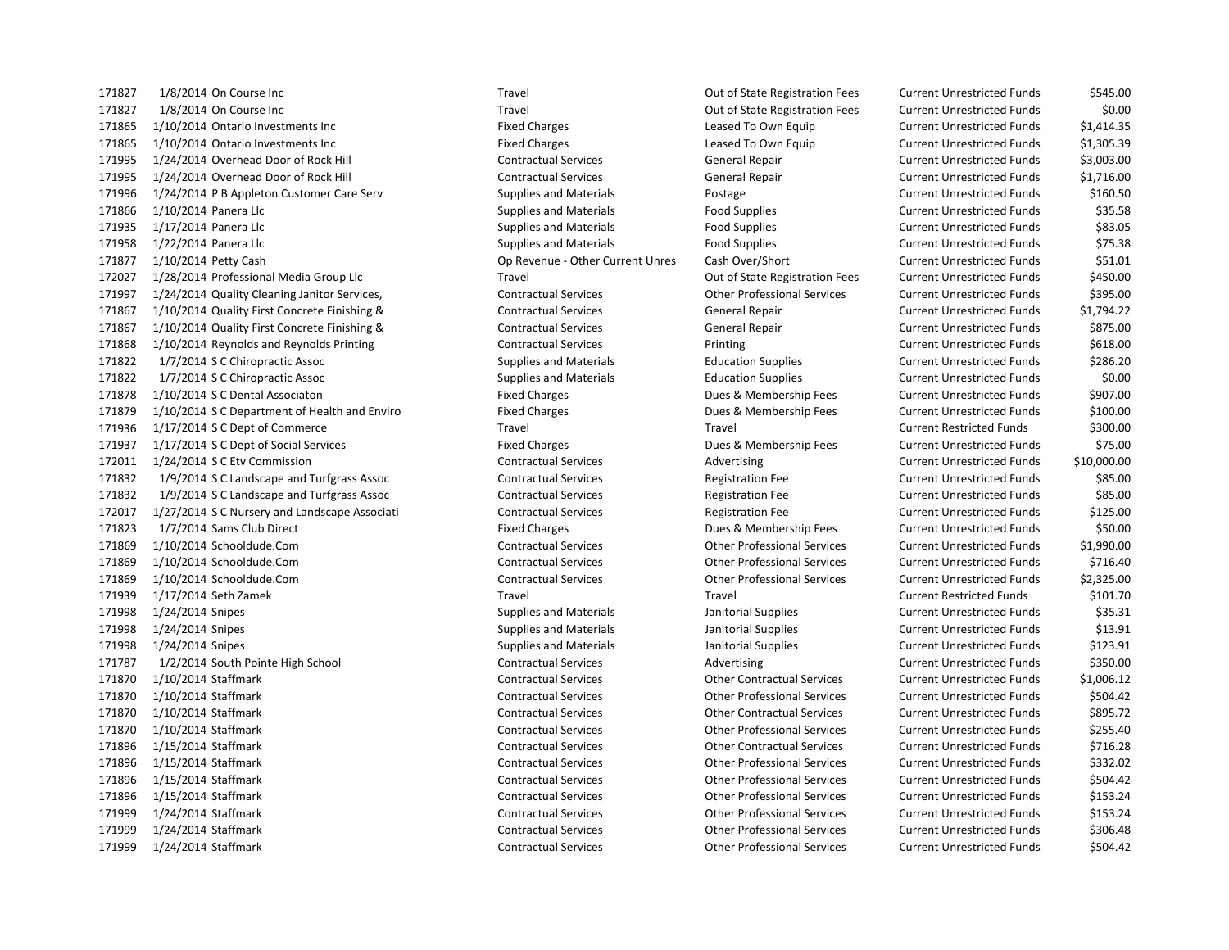1/8/2014 On Course Inc Travel Out of State Registration Fees Current Unrestricted Funds \$545.00 1/8/2014 On Course Inc Travel Out of State Registration Fees Current Unrestricted Funds \$0.00 1/10/2014 Ontario Investments Inc Fixed Charges Leased To Own Equip Current Unrestricted Funds \$1,414.35 1/10/2014 Ontario Investments Inc Fixed Charges Leased To Own Equip Current Unrestricted Funds \$1,305.39 1/24/2014 Overhead Door of Rock Hill Contractual Services General Repair Current Unrestricted Funds \$3,003.00 1/24/2014 Overhead Door of Rock Hill Contractual Services General Repair Current Unrestricted Funds \$1,716.00 1/24/2014 P B Appleton Customer Care Serv Supplies and Materials Postage Current Unrestricted Funds \$160.50 1/10/2014 Panera Llc Supplies and Materials Food Supplies Current Unrestricted Funds \$35.58 1/17/2014 Panera Llc Supplies and Materials Food Supplies Current Unrestricted Funds \$83.05 1/22/2014 Panera Llc Supplies and Materials Food Supplies Current Unrestricted Funds \$75.38 1/10/2014 Petty Cash Op Revenue - Other Current Unres Cash Over/Short Current Unrestricted Funds \$51.01 1/28/2014 Professional Media Group Llc Travel Out of State Registration Fees Current Unrestricted Funds \$450.00 1/24/2014 Quality Cleaning Janitor Services, Contractual Services Other Professional Services Current Unrestricted Funds \$395.00 1/10/2014 Quality First Concrete Finishing & Contractual Services General Repair Current Unrestricted Funds \$1,794.22 1/10/2014 Quality First Concrete Finishing & Contractual Services General Repair Current Unrestricted Funds \$875.00 1/10/2014 Reynolds and Reynolds Printing Contractual Services Printing Current Unrestricted Funds \$618.00 1/7/2014 S C Chiropractic Assoc Supplies and Materials Education Supplies Current Unrestricted Funds \$286.20 1/7/2014 S C Chiropractic Assoc Supplies and Materials Education Supplies Current Unrestricted Funds \$0.00 1/10/2014 S C Dental Associaton Fixed Charges Dues & Membership Fees Current Unrestricted Funds \$907.00 1/10/2014 S C Department of Health and Enviro Fixed Charges Dues & Membership Fees Current Unrestricted Funds \$100.00 1/17/2014 S C Dept of Commerce Travel Travel Current Restricted Funds \$300.00 1/17/2014 S C Dept of Social Services Fixed Charges Dues & Membership Fees Current Unrestricted Funds \$75.00 1/24/2014 S C Etv Commission Contractual Services Advertising Current Unrestricted Funds \$10,000.00 1/9/2014 S C Landscape and Turfgrass Assoc Contractual Services Registration Fee Current Unrestricted Funds \$85.00 1/9/2014 S C Landscape and Turfgrass Assoc Contractual Services Registration Fee Current Unrestricted Funds \$85.00 1/27/2014 S C Nursery and Landscape Associati Contractual Services Registration Fee Current Unrestricted Funds \$125.00 1/7/2014 Sams Club Direct Fixed Charges Dues & Membership Fees Current Unrestricted Funds \$50.00 1/10/2014 Schooldude.Com Contractual Services Other Professional Services Current Unrestricted Funds \$1,990.00 1/10/2014 Schooldude.Com Contractual Services Other Professional Services Current Unrestricted Funds \$716.40 1/10/2014 Schooldude.Com Contractual Services Other Professional Services Current Unrestricted Funds \$2,325.00 1/17/2014 Seth Zamek Travel Travel Current Restricted Funds \$101.70 1/24/2014 Snipes Supplies and Materials Janitorial Supplies Current Unrestricted Funds \$35.31 1/24/2014 Snipes Supplies and Materials Janitorial Supplies Current Unrestricted Funds \$13.91 1/24/2014 Snipes Supplies and Materials Janitorial Supplies Current Unrestricted Funds \$123.91 1/2/2014 South Pointe High School Contractual Services Advertising Current Unrestricted Funds \$350.00 1/10/2014 Staffmark Contractual Services Other Contractual Services Current Unrestricted Funds \$1,006.12 1/10/2014 Staffmark Contractual Services Other Professional Services Current Unrestricted Funds \$504.42 1/10/2014 Staffmark Contractual Services Other Contractual Services Current Unrestricted Funds \$895.72 1/10/2014 Staffmark Contractual Services Other Professional Services Current Unrestricted Funds \$255.40 1/15/2014 Staffmark Contractual Services Other Contractual Services Current Unrestricted Funds \$716.28 1/15/2014 Staffmark Contractual Services Other Professional Services Current Unrestricted Funds \$332.02 1/15/2014 Staffmark Contractual Services Other Professional Services Current Unrestricted Funds \$504.42 1/15/2014 Staffmark Contractual Services Other Professional Services Current Unrestricted Funds \$153.24 1/24/2014 Staffmark Contractual Services Other Professional Services Current Unrestricted Funds \$153.24 1/24/2014 Staffmark Contractual Services Other Professional Services Current Unrestricted Funds \$306.48 1/24/2014 Staffmark Contractual Services Other Professional Services Current Unrestricted Funds \$504.42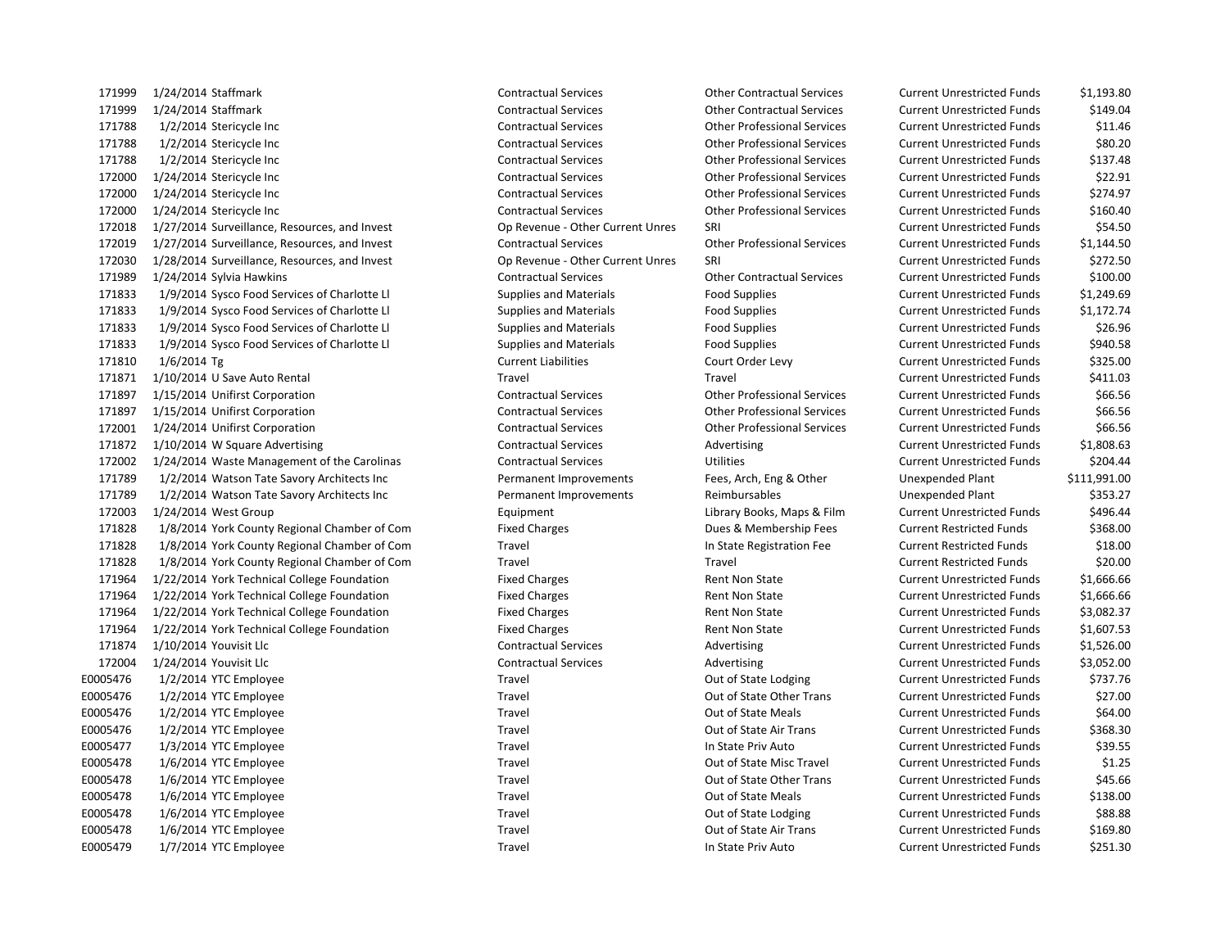1/24/2014 Staffmark Contractual Services Other Contractual Services Current Unrestricted Funds \$1,193.80 1/24/2014 Staffmark Contractual Services Other Contractual Services Current Unrestricted Funds \$149.04 1/2/2014 Stericycle Inc Contractual Services Other Professional Services Current Unrestricted Funds \$11.46 1/2/2014 Stericycle Inc Contractual Services Other Professional Services Current Unrestricted Funds \$80.20 1/2/2014 Stericycle Inc Contractual Services Other Professional Services Current Unrestricted Funds \$137.48 1/24/2014 Stericycle Inc Contractual Services Other Professional Services Current Unrestricted Funds \$22.91 1/24/2014 Stericycle Inc Contractual Services Other Professional Services Current Unrestricted Funds \$274.97 1/24/2014 Stericycle Inc Contractual Services Other Professional Services Current Unrestricted Funds \$160.40 1/27/2014 Surveillance, Resources, and Invest Op Revenue - Other Current Unres SRI Current Unrestricted Funds \$54.50 1/27/2014 Surveillance, Resources, and Invest Contractual Services Other Professional Services Current Unrestricted Funds \$1,144.50 1/28/2014 Surveillance, Resources, and Invest Op Revenue - Other Current Unres SRI Current Unrestricted Funds \$272.50 1/24/2014 Sylvia Hawkins Contractual Services Other Contractual Services Current Unrestricted Funds \$100.00 1/9/2014 Sysco Food Services of Charlotte Ll Supplies and Materials Food Supplies Current Unrestricted Funds \$1,249.69 1/9/2014 Sysco Food Services of Charlotte Ll Supplies and Materials Food Supplies Current Unrestricted Funds \$1,172.74 1/9/2014 Sysco Food Services of Charlotte Ll Supplies and Materials Food Supplies Current Unrestricted Funds \$26.96 1/9/2014 Sysco Food Services of Charlotte Ll Supplies and Materials Food Supplies Current Unrestricted Funds \$940.58 1/6/2014 Tg Current Liabilities Court Order Levy Current Unrestricted Funds \$325.00 1/10/2014 U Save Auto Rental Travel Travel Current Unrestricted Funds \$411.03 1/15/2014 Unifirst Corporation Contractual Services Other Professional Services Current Unrestricted Funds \$66.56 1/15/2014 Unifirst Corporation Contractual Services Other Professional Services Current Unrestricted Funds \$66.56 1/24/2014 Unifirst Corporation Contractual Services Other Professional Services Current Unrestricted Funds \$66.56 1/10/2014 W Square Advertising Contractual Services Advertising Current Unrestricted Funds \$1,808.63 1/24/2014 Waste Management of the Carolinas Contractual Services Utilities Current Unrestricted Funds \$204.44 1/2/2014 Watson Tate Savory Architects Inc Permanent Improvements Fees, Arch, Eng & Other Unexpended Plant \$111,991.00 1/2/2014 Watson Tate Savory Architects Inc Permanent Improvements Reimbursables Unexpended Plant \$353.27 172003 1/24/2014 West Group Companies Companies Companies Equipment Equipment Library Books, Maps & Film Current Unrestricted Funds \$496.44 1/8/2014 York County Regional Chamber of Com Fixed Charges Dues & Membership Fees Current Restricted Funds \$368.00 1/8/2014 York County Regional Chamber of Com Travel In State Registration Fee Current Restricted Funds \$18.00 1/8/2014 York County Regional Chamber of Com Travel Travel Current Restricted Funds \$20.00 1/22/2014 York Technical College Foundation Fixed Charges Rent Non State Current Unrestricted Funds \$1,666.66 1/22/2014 York Technical College Foundation Fixed Charges Rent Non State Current Unrestricted Funds \$1,666.66 1/22/2014 York Technical College Foundation Fixed Charges Rent Non State Current Unrestricted Funds \$3,082.37 1/22/2014 York Technical College Foundation Fixed Charges Rent Non State Current Unrestricted Funds \$1,607.53 171874 1/10/2014 Youvisit Llc Contractual Services Contractual Services Advertising Current Unrestricted Funds \$1,526.00 1/24/2014 Youvisit Llc Contractual Services Advertising Current Unrestricted Funds \$3,052.00 E0005476 1/2/2014 YTC Employee Travel Travel Travel Current Unrestricted Funds \$737.76 E0005476 1/2/2014 YTC Employee Travel Travel Travel Cut of State Other Trans Current Unrestricted Funds \$27.00 E0005476 1/2/2014 YTC Employee Travel Travel Travel Current Unrestricted Funds \$64.00 E0005476 1/2/2014 YTC Employee Travel Travel Travel Cut of State Air Trans Current Unrestricted Funds \$368.30 E0005477 1/3/2014 YTC Employee Travel Travel Travel In State Priv Auto Current Unrestricted Funds \$39.55 E0005478 1/6/2014 YTC Employee Travel Travel Travel Travel Out of State Misc Travel Current Unrestricted Funds \$1.25 E0005478 1/6/2014 YTC Employee Travel Travel Travel Cut of State Other Trans Current Unrestricted Funds \$45.66 E0005478 1/6/2014 YTC Employee Travel Travel Travel Current Unrestricted Funds \$138.00 E0005478 1/6/2014 YTC Employee Travel Travel Travel Current Unrestricted Funds 588.88 E0005478 1/6/2014 YTC Employee Travel Travel Travel Current Out of State Air Trans Current Unrestricted Funds \$169.80 E0005479 1/7/2014 YTC Employee Travel Travel Travel In State Priv Auto Current Unrestricted Funds \$251.30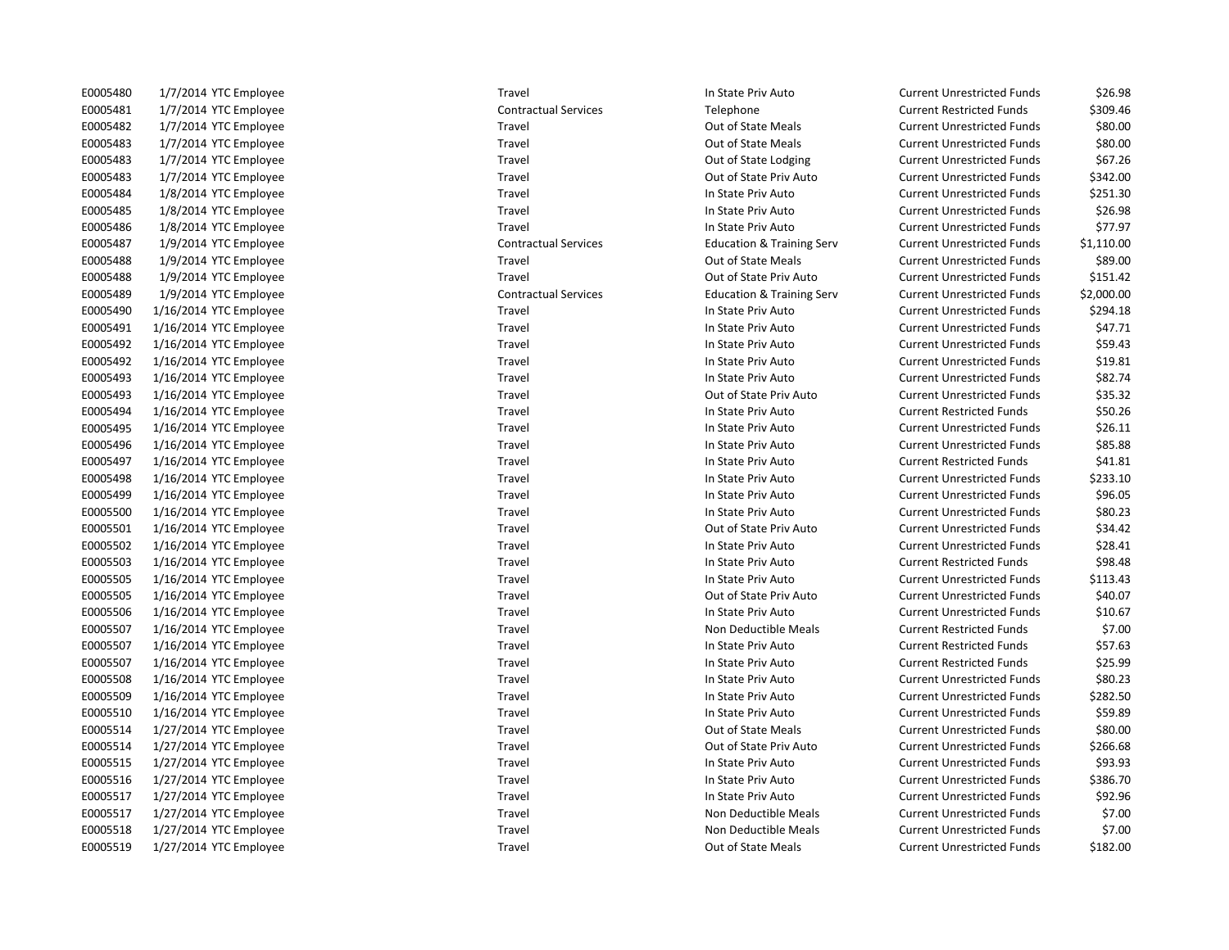| E0005480 | 1/7/2014 YTC Employee  |
|----------|------------------------|
| E0005481 | 1/7/2014 YTC Employee  |
| E0005482 | 1/7/2014 YTC Employee  |
| E0005483 | 1/7/2014 YTC Employee  |
| E0005483 | 1/7/2014 YTC Employee  |
| E0005483 | 1/7/2014 YTC Employee  |
| E0005484 | 1/8/2014 YTC Employee  |
| E0005485 | 1/8/2014 YTC Employee  |
| E0005486 | 1/8/2014 YTC Employee  |
| E0005487 | 1/9/2014 YTC Employee  |
| E0005488 | 1/9/2014 YTC Employee  |
| E0005488 | 1/9/2014 YTC Employee  |
| E0005489 | 1/9/2014 YTC Employee  |
| E0005490 | 1/16/2014 YTC Employee |
| E0005491 | 1/16/2014 YTC Employee |
| E0005492 | 1/16/2014 YTC Employee |
| E0005492 | 1/16/2014 YTC Employee |
| E0005493 | 1/16/2014 YTC Employee |
| E0005493 | 1/16/2014 YTC Employee |
| E0005494 | 1/16/2014 YTC Employee |
| E0005495 | 1/16/2014 YTC Employee |
| E0005496 | 1/16/2014 YTC Employee |
| E0005497 | 1/16/2014 YTC Employee |
| E0005498 | 1/16/2014 YTC Employee |
| E0005499 | 1/16/2014 YTC Employee |
| E0005500 | 1/16/2014 YTC Employee |
| E0005501 | 1/16/2014 YTC Employee |
| E0005502 | 1/16/2014 YTC Employee |
| E0005503 | 1/16/2014 YTC Employee |
| E0005505 | 1/16/2014 YTC Employee |
| E0005505 | 1/16/2014 YTC Employee |
| E0005506 | 1/16/2014 YTC Employee |
| E0005507 | 1/16/2014 YTC Employee |
| E0005507 | 1/16/2014 YTC Employee |
| E0005507 | 1/16/2014 YTC Employee |
| E0005508 | 1/16/2014 YTC Employee |
| E0005509 | 1/16/2014 YTC Employee |
| E0005510 | 1/16/2014 YTC Employee |
| E0005514 | 1/27/2014 YTC Employee |
| E0005514 | 1/27/2014 YTC Employee |
| E0005515 | 1/27/2014 YTC Employee |
| E0005516 | 1/27/2014 YTC Employee |
| E0005517 | 1/27/2014 YTC Employee |
| E0005517 | 1/27/2014 YTC Employee |
| E0005518 | 1/27/2014 YTC Employee |
| E0005519 | 1/27/2014 YTC Emplovee |

E0005480 1/7/2014 YTC Employee Travel In State Priv Auto Current Unrestricted Funds \$26.98 Contractual Services Telephone Telephone Current Restricted Funds \$309.46 E0005482 1/7/2014 YTC Employee Travel Travel Travel Current Out of State Meals Current Unrestricted Funds \$80.00 Travel **1/2014 1/2014 1/2014 1/2014 1/2014 View Apple Travel Current Unrestricted Funds** \$80.00 Travel **EXECUTE:** Travel Current Unrestricted Funds 567.26 Travel **EXECUTE:** Courrent Unrestricted Funds \$342.00 Travel **EXECUTE:** In State Priv Auto **Current Unrestricted Funds** \$251.30 E005485 17 Travel Travel In State Priv Auto Current Unrestricted Funds \$26.98 E0005486 1/8/2014 YTC Employee Travel In State Priv Auto Current Unrestricted Funds \$77.97 Contractual Services **Education & Training Serv** Current Unrestricted Funds \$1,110.00 E000548 17 Travel Current Unrestricted Funds 589.00 Travel **EXECUTE:** Courrent University Current Unrestricted Funds \$151.42 Contractual Services **1/9/2014** Education & Training Serv Current Unrestricted Funds \$2,000.00 Travel **Education 10006 1/2014 In State Priv Auto** Current Unrestricted Funds \$294.18 Travel **EXECUTE:** In State Priv Auto **Current Unrestricted Funds** \$47.71 Travel **EXECUTE:** Travel In State Priv Auto Current Unrestricted Funds \$59.43 Travel **EXECUTE:** Travel In State Priv Auto Current Unrestricted Funds \$19.81 Travel **EXECUTE:** In State Priv Auto **Current Unrestricted Funds** \$82.74 Travel **EXECUTE:** Courrent Unrestricted Funds 535.32 E0005494 1/16/2014 YTC Employee Travel Travel Travel Travel In State Priv Auto Current Restricted Funds \$50.26 Entertainment Unrestricted Funds Current Unrestricted Funds 526.11 E0005496 1/16/2014 YTC Employee Travel In State Priv Auto Current Unrestricted Funds \$85.88 Example 1978 1997 Travel In State Priv Auto Current Restricted Funds 541.81 E00054 1005 1006 10006 10006 10006 10006 10006 10006 10006 10006 10006 10006 10006 10006 10006 10006 10006 100 E000549 10 1995 1000549 10 1996 10 17:420 10 1996 10005 10005 10005 10005 10005 10005 10005 10005 10005 10005 1 E0005500 1/16/2014 YTC Employee Travel In State Priv Auto Current Unrestricted Funds \$80.23 Travel **EXECUTE:** Courrent Unit Current Unrestricted Funds 534.42 E0005502 1/16/2014 YTC Employee Travel In State Priv Auto Current Unrestricted Funds \$28.41 E003.48 Travel Travel In State Priv Auto Current Restricted Funds \$98.48 Travel **EXECUTE:** In State Priv Auto **Current Unrestricted Funds** \$113.43 Travel **EXECUTE:** Travel Current Unrestricted Funds 540.07 Entert Entertainment Unrestricted Funds and Support Travel In State Priv Auto Current Unrestricted Funds \$10.67 E0005507 1/16/2014 YTC Employee Travel Travel Travel Travel Non Deductible Meals Current Restricted Funds \$7.00 E0005507 1/16/2014 YTC Employee Travel Travel Travel Travel In State Priv Auto Current Restricted Funds \$57.63 E0005507 1/16/2014 YTC Employee external in State Priv Auto Current Restricted Funds \$25.99 Example 10 10005 10005 10005 10005 10006 10006 10006 10006 10006 10006 10006 10006 10006 10006 10006 10006 100 E0005 1005 10005 10005 10005 10006 10006 10006 10006 10006 10006 10006 10006 10006 10006 10006 10006 10006 100 E000510 1000510 1000510 1000510 1000510 1000510 1000510 1000510 1000510 1000510 1000510 1000510 1000510 100051 E000514 Travel Travel Current Unrestricted Funds Current Unrestricted Funds that the State Meals Current Unrestricted Funds Travel **EXECUTE:** Courrent Unrestricted Funds 5266.68 E0005515 1/27/2014 YTC Employee Travel In State Priv Auto Current Unrestricted Funds \$93.93 E000516 1778 Travel Travel In State Priv Auto Current Unrestricted Funds \$386.70 E0005517 1/27/2014 YTC Employee Travel In State Priv Auto Current Unrestricted Funds \$92.96 Travel **EXECUTE:** Non Deductible Meals Current Unrestricted Funds \$7.00 Travel **EXECUTE:** Travel Travel Non Deductible Meals Current Unrestricted Funds \$7.00 1/27/2014 YTC Employee Travel Travel Travel Current Out of State Meals Current Unrestricted Funds \$182.00